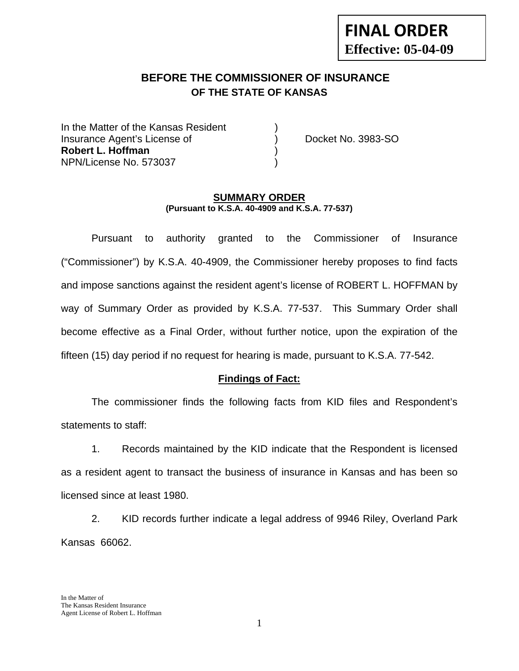# **BEFORE THE COMMISSIONER OF INSURANCE OF THE STATE OF KANSAS**

In the Matter of the Kansas Resident Insurance Agent's License of ) Docket No. 3983-SO **Robert L. Hoffman** ) NPN/License No. 573037 )

#### **SUMMARY ORDER (Pursuant to K.S.A. 40-4909 and K.S.A. 77-537)**

 Pursuant to authority granted to the Commissioner of Insurance ("Commissioner") by K.S.A. 40-4909, the Commissioner hereby proposes to find facts and impose sanctions against the resident agent's license of ROBERT L. HOFFMAN by way of Summary Order as provided by K.S.A. 77-537. This Summary Order shall become effective as a Final Order, without further notice, upon the expiration of the fifteen (15) day period if no request for hearing is made, pursuant to K.S.A. 77-542.

## **Findings of Fact:**

 The commissioner finds the following facts from KID files and Respondent's statements to staff:

 1. Records maintained by the KID indicate that the Respondent is licensed as a resident agent to transact the business of insurance in Kansas and has been so licensed since at least 1980.

 2. KID records further indicate a legal address of 9946 Riley, Overland Park Kansas 66062.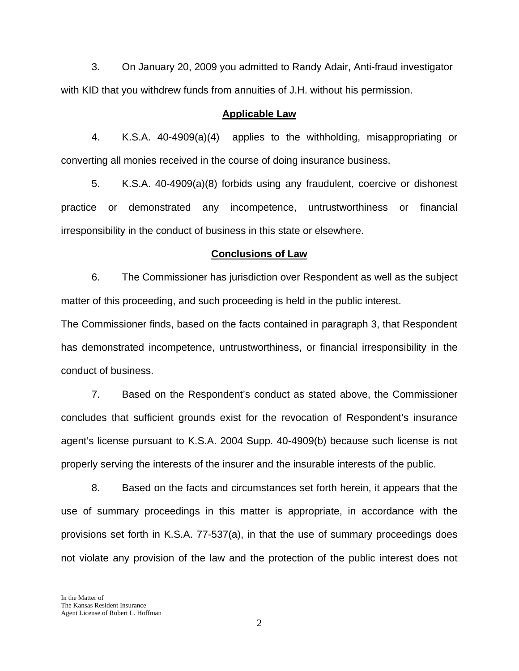3. On January 20, 2009 you admitted to Randy Adair, Anti-fraud investigator with KID that you withdrew funds from annuities of J.H. without his permission.

#### **Applicable Law**

 4. K.S.A. 40-4909(a)(4) applies to the withholding, misappropriating or converting all monies received in the course of doing insurance business.

5. K.S.A. 40-4909(a)(8) forbids using any fraudulent, coercive or dishonest practice or demonstrated any incompetence, untrustworthiness or financial irresponsibility in the conduct of business in this state or elsewhere.

#### **Conclusions of Law**

 6. The Commissioner has jurisdiction over Respondent as well as the subject matter of this proceeding, and such proceeding is held in the public interest.

The Commissioner finds, based on the facts contained in paragraph 3, that Respondent has demonstrated incompetence, untrustworthiness, or financial irresponsibility in the conduct of business.

 7. Based on the Respondent's conduct as stated above, the Commissioner concludes that sufficient grounds exist for the revocation of Respondent's insurance agent's license pursuant to K.S.A. 2004 Supp. 40-4909(b) because such license is not properly serving the interests of the insurer and the insurable interests of the public.

 8. Based on the facts and circumstances set forth herein, it appears that the use of summary proceedings in this matter is appropriate, in accordance with the provisions set forth in K.S.A. 77-537(a), in that the use of summary proceedings does not violate any provision of the law and the protection of the public interest does not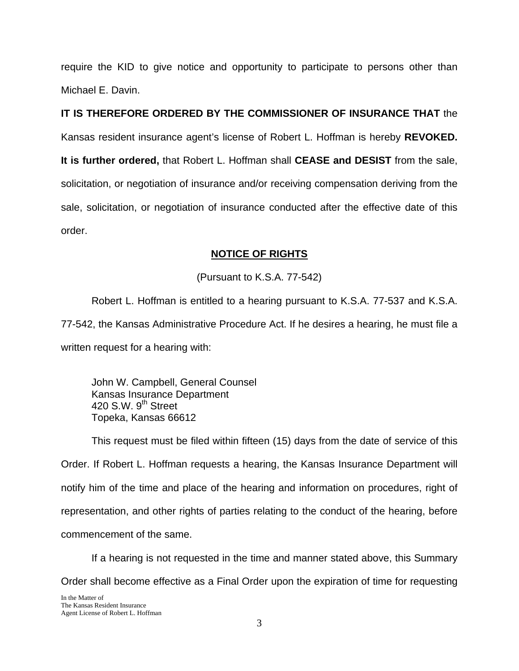require the KID to give notice and opportunity to participate to persons other than Michael E. Davin.

**IT IS THEREFORE ORDERED BY THE COMMISSIONER OF INSURANCE THAT** the Kansas resident insurance agent's license of Robert L. Hoffman is hereby **REVOKED. It is further ordered,** that Robert L. Hoffman shall **CEASE and DESIST** from the sale, solicitation, or negotiation of insurance and/or receiving compensation deriving from the sale, solicitation, or negotiation of insurance conducted after the effective date of this order.

## **NOTICE OF RIGHTS**

(Pursuant to K.S.A. 77-542)

Robert L. Hoffman is entitled to a hearing pursuant to K.S.A. 77-537 and K.S.A. 77-542, the Kansas Administrative Procedure Act. If he desires a hearing, he must file a written request for a hearing with:

 John W. Campbell, General Counsel Kansas Insurance Department 420 S.W.  $9<sup>th</sup>$  Street Topeka, Kansas 66612

This request must be filed within fifteen (15) days from the date of service of this Order. If Robert L. Hoffman requests a hearing, the Kansas Insurance Department will notify him of the time and place of the hearing and information on procedures, right of representation, and other rights of parties relating to the conduct of the hearing, before commencement of the same.

If a hearing is not requested in the time and manner stated above, this Summary Order shall become effective as a Final Order upon the expiration of time for requesting